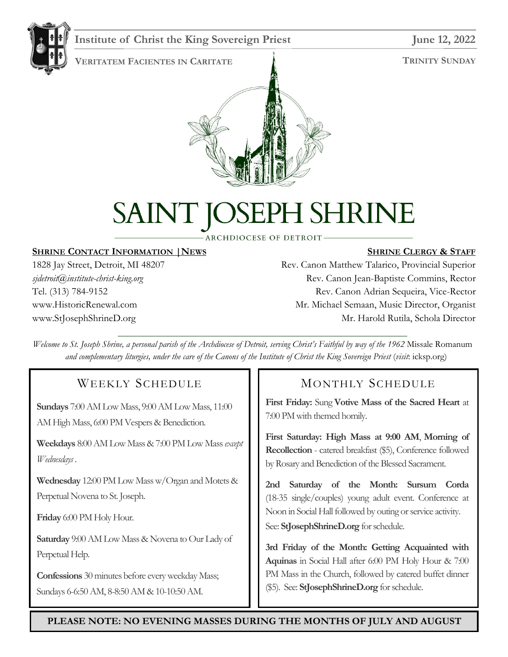

#### **Institute of Christ the King Sovereign Priest** June 12, 2022

**TRINITY SUNDAY**



# PH SHRINE SAINT JOSE

ARCHDIOCESE OF DETROIT-

#### **SHRINE CONTACT INFORMATION |NEWS**

1828 Jay Street, Detroit, MI 48207 *sjdetroit@institute-christ-king.org* Tel. (313) 784-9152 www.HistoricRenewal.com www.StJosephShrineD.org

#### **SHRINE CLERGY & STAFF**

Rev. Canon Matthew Talarico, Provincial Superior Rev. Canon Jean-Baptiste Commins, Rector Rev. Canon Adrian Sequeira, Vice-Rector Mr. Michael Semaan, Music Director, Organist Mr. Harold Rutila, Schola Director

*Welcome to St. Joseph Shrine, a personal parish of the Archdiocese of Detroit, serving Christ's Faithful by way of the 1962* Missale Romanum *and complementary liturgies, under the care of the Canons of the Institute of Christ the King Sovereign Priest (visit: icksp.org)* 

#### WEEKLY SCHEDULE

**Sundays** 7:00 AM Low Mass, 9:00 AM Low Mass, 11:00 AM High Mass, 6:00 PM Vespers & Benediction.

**Weekdays** 8:00 AM Low Mass& 7:00 PM Low Mass*except Wednesdays* .

**Wednesday** 12:00 PM Low Mass w/Organ and Motets & Perpetual Novena to St. Joseph.

**Friday** 6:00 PM Holy Hour.

**Saturday** 9:00 AM Low Mass & Novena to Our Lady of Perpetual Help.

**Confessions** 30 minutes before every weekday Mass; Sundays 6-6:50 AM, 8-8:50 AM & 10-10:50 AM.

#### MONTHLY SCHEDULE

**First Friday:** Sung **Votive Mass of the Sacred Heart** at 7:00 PM with themed homily.

**First Saturday: High Mass at 9:00 AM**, **Morning of Recollection** - catered breakfast (\$5), Conference followed by Rosary and Benediction of the Blessed Sacrament.

**2nd Saturday of the Month: Sursum Corda** (18-35 single/couples) young adult event. Conference at Noon in Social Hall followed by outing or service activity. See: **StJosephShrineD.org** for schedule.

**3rd Friday of the Month: Getting Acquainted with Aquinas** in Social Hall after 6:00 PM Holy Hour & 7:00 PM Mass in the Church, followed by catered buffet dinner (\$5). See: **StJosephShrineD.org** for schedule.

**PLEASE NOTE: NO EVENING MASSES DURING THE MONTHS OF JULY AND AUGUST**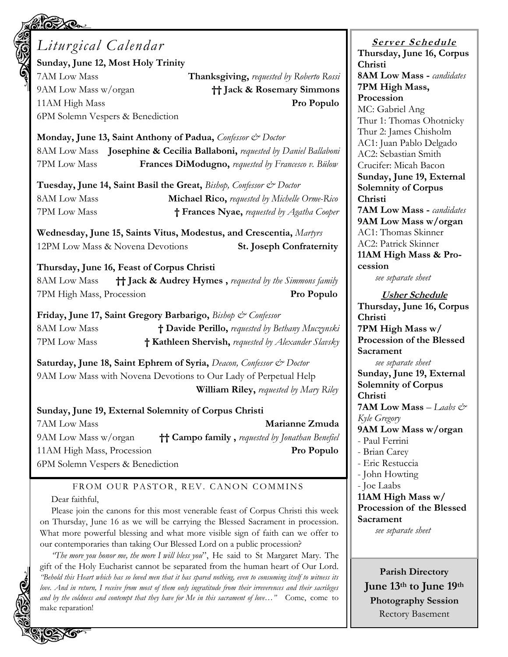| <b>CACY CHE</b>                                                                                                                                                                                                                                                                                                                                                                                                                                                                                                                                                                                                                                                                                  |                                                                                                                                                                                                                                                                                                                                                                                                                           |  |
|--------------------------------------------------------------------------------------------------------------------------------------------------------------------------------------------------------------------------------------------------------------------------------------------------------------------------------------------------------------------------------------------------------------------------------------------------------------------------------------------------------------------------------------------------------------------------------------------------------------------------------------------------------------------------------------------------|---------------------------------------------------------------------------------------------------------------------------------------------------------------------------------------------------------------------------------------------------------------------------------------------------------------------------------------------------------------------------------------------------------------------------|--|
| Liturgical Calendar<br>Sunday, June 12, Most Holy Trinity<br>7AM Low Mass<br>Thanksgiving, requested by Roberto Rossi<br>9AM Low Mass w/organ<br><b>†† Jack &amp; Rosemary Simmons</b><br>11AM High Mass<br>Pro Populo<br>6PM Solemn Vespers & Benediction<br>Monday, June 13, Saint Anthony of Padua, Confessor & Doctor<br>8AM Low Mass Josephine & Cecilia Ballaboni, requested by Daniel Ballaboni<br>7PM Low Mass<br>Frances DiModugno, requested by Francesco v. Bülow<br>Tuesday, June 14, Saint Basil the Great, Bishop, Confessor & Doctor<br><b>8AM Low Mass</b><br><b>Michael Rico, requested by Michelle Orme-Rico</b><br>7PM Low Mass<br>† Frances Nyae, requested by Agatha Cooper | <b>Server Schedule</b><br>Thursday, June 16, Corpus<br>Christi<br><b>8AM Low Mass - candidates</b><br>7PM High Mass,<br>Procession<br>MC: Gabriel Ang<br>Thur 1: Thomas Ohotnicky<br>Thur 2: James Chisholm<br>AC1: Juan Pablo Delgado<br>AC2: Sebastian Smith<br>Crucifer: Micah Bacon<br>Sunday, June 19, External<br><b>Solemnity of Corpus</b><br>Christi<br><b>7AM Low Mass - candidates</b><br>9AM Low Mass w/organ |  |
| Wednesday, June 15, Saints Vitus, Modestus, and Crescentia, Martyrs<br>12PM Low Mass & Novena Devotions<br><b>St. Joseph Confraternity</b><br>Thursday, June 16, Feast of Corpus Christi                                                                                                                                                                                                                                                                                                                                                                                                                                                                                                         | AC1: Thomas Skinner<br>AC2: Patrick Skinner<br>11AM High Mass & Pro-<br>cession                                                                                                                                                                                                                                                                                                                                           |  |
| <b>†† Jack &amp; Audrey Hymes</b> , requested by the Simmons family<br>8AM Low Mass<br>7PM High Mass, Procession<br>Pro Populo                                                                                                                                                                                                                                                                                                                                                                                                                                                                                                                                                                   | see separate sheet<br><b>Usher Schedule</b>                                                                                                                                                                                                                                                                                                                                                                               |  |
| Friday, June 17, Saint Gregory Barbarigo, <i>Bishop &amp; Confessor</i><br>8AM Low Mass<br>† Davide Perillo, requested by Bethany Muczynski<br>7PM Low Mass<br>† Kathleen Shervish, requested by Alexander Slavsky<br>Saturday, June 18, Saint Ephrem of Syria, Deacon, Confessor & Doctor<br>9AM Low Mass with Novena Devotions to Our Lady of Perpetual Help<br>William Riley, requested by Mary Riley<br>Sunday, June 19, External Solemnity of Corpus Christi                                                                                                                                                                                                                                | Thursday, June 16, Corpus<br>Christi<br>7PM High Mass w/<br>Procession of the Blessed<br>Sacrament<br>see separate sheet<br>Sunday, June 19, External<br><b>Solemnity of Corpus</b><br>Christi<br>7AM Low Mass - Laabs &<br>Kyle Gregory                                                                                                                                                                                  |  |
| 7AM Low Mass<br>Marianne Zmuda<br>9AM Low Mass w/organ<br><sup>†</sup> † Campo family, requested by Jonathan Benefiel<br>11AM High Mass, Procession<br>Pro Populo<br>6PM Solemn Vespers & Benediction                                                                                                                                                                                                                                                                                                                                                                                                                                                                                            | 9AM Low Mass w/organ<br>- Paul Ferrini<br>- Brian Carey<br>- Eric Restuccia<br>- John Howting                                                                                                                                                                                                                                                                                                                             |  |
| FROM OUR PASTOR, REV. CANON COMMINS<br>Dear faithful,<br>Please join the canons for this most venerable feast of Corpus Christi this week<br>on Thursday, June 16 as we will be carrying the Blessed Sacrament in procession.<br>What more powerful blessing and what more visible sign of faith can we offer to<br>our contemporaries than taking Our Blessed Lord on a public procession?                                                                                                                                                                                                                                                                                                      | - Joe Laabs<br>11AM High Mass w/<br>Procession of the Blessed<br>Sacrament<br>see separate sheet                                                                                                                                                                                                                                                                                                                          |  |

*"The more you honor me, the more I will bless you*", He said to St Margaret Mary. The gift of the Holy Eucharist cannot be separated from the human heart of Our Lord. *"Behold this Heart which has so loved men that it has spared nothing, even to consuming itself to witness its love. And in return, I receive from most of them only ingratitude from their irreverences and their sacrileges and by the coldness and contempt that they have for Me in this sacrament of love…"* Come, come to make reparation!

**Parish Directory June 13th to June 19th Photography Session** Rectory Basement

Ć

**CONT** 

2120.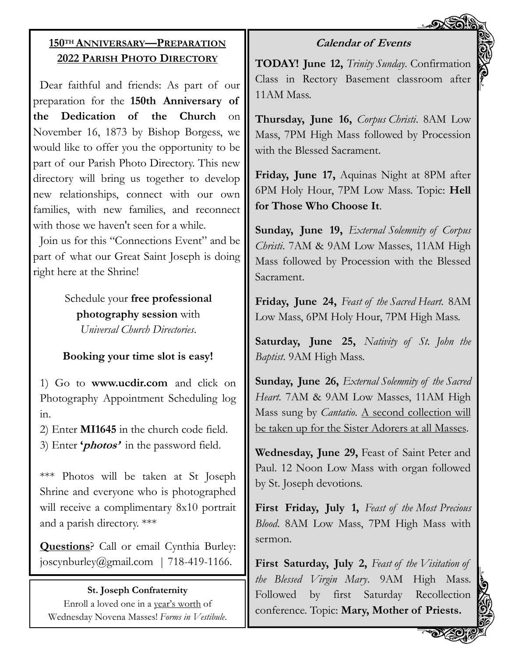#### **Calendar of Events**

## **150TH ANNIVERSARY—PREPARATION 2022 PARISH PHOTO DIRECTORY**

Dear faithful and friends: As part of our preparation for the **150th Anniversary of the Dedication of the Church** on November 16, 1873 by Bishop Borgess, we would like to offer you the opportunity to be part of our Parish Photo Directory. This new directory will bring us together to develop new relationships, connect with our own families, with new families, and reconnect with those we haven't seen for a while.

Join us for this "Connections Event" and be part of what our Great Saint Joseph is doing right here at the Shrine!

> Schedule your **free professional photography session** with *Universal Church Directories*.

### **Booking your time slot is easy!**

1) Go to **www.ucdir.com** and click on Photography Appointment Scheduling log in.

2) Enter **MI1645** in the church code field. 3) Enter **'photos'** in the password field.

\*\*\* Photos will be taken at St Joseph Shrine and everyone who is photographed will receive a complimentary 8x10 portrait and a parish directory. \*\*\*

**Questions**? Call or email Cynthia Burley: joscynburley@gmail.com | 718-419-1166.

#### **St. Joseph Confraternity**

Enroll a loved one in a year's worth of Wednesday Novena Masses! *Forms in Vestibule*. **TODAY! June 12,** *Trinity Sunday*. Confirmation Class in Rectory Basement classroom after 11AM Mass.

**Thursday, June 16,** *Corpus Christi*. 8AM Low Mass, 7PM High Mass followed by Procession with the Blessed Sacrament.

**Friday, June 17,** Aquinas Night at 8PM after 6PM Holy Hour, 7PM Low Mass. Topic: **Hell for Those Who Choose It**.

**Sunday, June 19,** *External Solemnity of Corpus Christi*. 7AM & 9AM Low Masses, 11AM High Mass followed by Procession with the Blessed Sacrament.

**Friday, June 24,** *Feast of the Sacred Heart*. 8AM Low Mass, 6PM Holy Hour, 7PM High Mass.

**Saturday, June 25,** *Nativity of St. John the Baptist*. 9AM High Mass.

**Sunday, June 26,** *External Solemnity of the Sacred Heart*. 7AM & 9AM Low Masses, 11AM High Mass sung by *Cantatio*. A second collection will be taken up for the Sister Adorers at all Masses.

**Wednesday, June 29,** Feast of Saint Peter and Paul. 12 Noon Low Mass with organ followed by St. Joseph devotions.

**First Friday, July 1,** *Feast of the Most Precious Blood*. 8AM Low Mass, 7PM High Mass with sermon.

**First Saturday, July 2,** *Feast of the Visitation of the Blessed Virgin Mary*. 9AM High Mass. Followed by first Saturday Recollection conference. Topic: **Mary, Mother of Priests.**